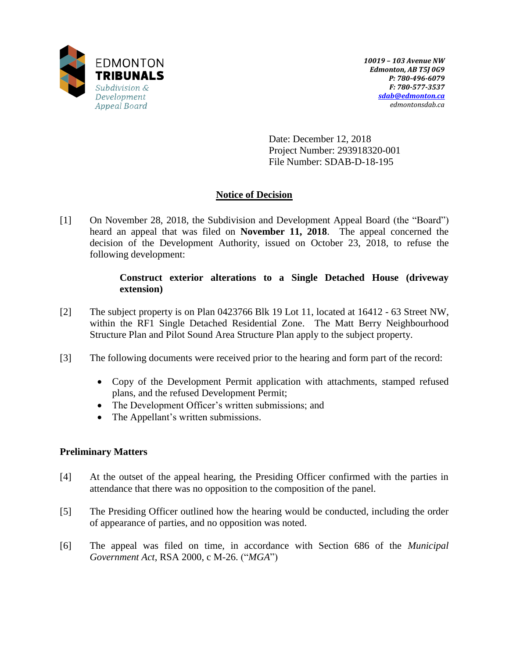

Date: December 12, 2018 Project Number: 293918320-001 File Number: SDAB-D-18-195

# **Notice of Decision**

[1] On November 28, 2018, the Subdivision and Development Appeal Board (the "Board") heard an appeal that was filed on **November 11, 2018**. The appeal concerned the decision of the Development Authority, issued on October 23, 2018, to refuse the following development:

## **Construct exterior alterations to a Single Detached House (driveway extension)**

- [2] The subject property is on Plan 0423766 Blk 19 Lot 11, located at 16412 63 Street NW, within the RF1 Single Detached Residential Zone. The Matt Berry Neighbourhood Structure Plan and Pilot Sound Area Structure Plan apply to the subject property.
- [3] The following documents were received prior to the hearing and form part of the record:
	- Copy of the Development Permit application with attachments, stamped refused plans, and the refused Development Permit;
	- The Development Officer's written submissions; and
	- The Appellant's written submissions.

## **Preliminary Matters**

- [4] At the outset of the appeal hearing, the Presiding Officer confirmed with the parties in attendance that there was no opposition to the composition of the panel.
- [5] The Presiding Officer outlined how the hearing would be conducted, including the order of appearance of parties, and no opposition was noted.
- [6] The appeal was filed on time, in accordance with Section 686 of the *Municipal Government Act*, RSA 2000, c M-26. ("*MGA*")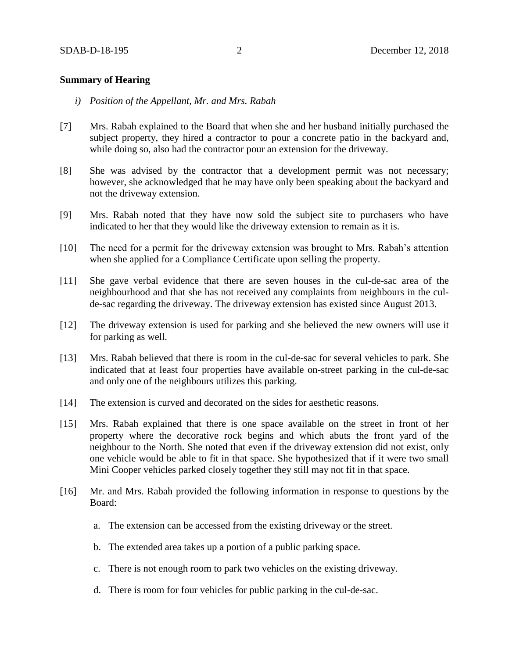## **Summary of Hearing**

- *i) Position of the Appellant, Mr. and Mrs. Rabah*
- [7] Mrs. Rabah explained to the Board that when she and her husband initially purchased the subject property, they hired a contractor to pour a concrete patio in the backyard and, while doing so, also had the contractor pour an extension for the driveway.
- [8] She was advised by the contractor that a development permit was not necessary; however, she acknowledged that he may have only been speaking about the backyard and not the driveway extension.
- [9] Mrs. Rabah noted that they have now sold the subject site to purchasers who have indicated to her that they would like the driveway extension to remain as it is.
- [10] The need for a permit for the driveway extension was brought to Mrs. Rabah's attention when she applied for a Compliance Certificate upon selling the property.
- [11] She gave verbal evidence that there are seven houses in the cul-de-sac area of the neighbourhood and that she has not received any complaints from neighbours in the culde-sac regarding the driveway. The driveway extension has existed since August 2013.
- [12] The driveway extension is used for parking and she believed the new owners will use it for parking as well.
- [13] Mrs. Rabah believed that there is room in the cul-de-sac for several vehicles to park. She indicated that at least four properties have available on-street parking in the cul-de-sac and only one of the neighbours utilizes this parking.
- [14] The extension is curved and decorated on the sides for aesthetic reasons.
- [15] Mrs. Rabah explained that there is one space available on the street in front of her property where the decorative rock begins and which abuts the front yard of the neighbour to the North. She noted that even if the driveway extension did not exist, only one vehicle would be able to fit in that space. She hypothesized that if it were two small Mini Cooper vehicles parked closely together they still may not fit in that space.
- [16] Mr. and Mrs. Rabah provided the following information in response to questions by the Board:
	- a. The extension can be accessed from the existing driveway or the street.
	- b. The extended area takes up a portion of a public parking space.
	- c. There is not enough room to park two vehicles on the existing driveway.
	- d. There is room for four vehicles for public parking in the cul-de-sac.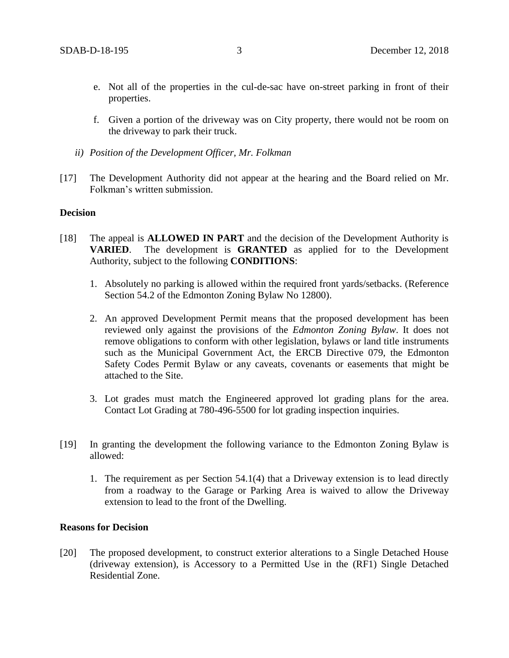- e. Not all of the properties in the cul-de-sac have on-street parking in front of their properties.
- f. Given a portion of the driveway was on City property, there would not be room on the driveway to park their truck.
- *ii) Position of the Development Officer, Mr. Folkman*
- [17] The Development Authority did not appear at the hearing and the Board relied on Mr. Folkman's written submission.

#### **Decision**

- [18] The appeal is **ALLOWED IN PART** and the decision of the Development Authority is **VARIED**. The development is **GRANTED** as applied for to the Development Authority, subject to the following **CONDITIONS**:
	- 1. Absolutely no parking is allowed within the required front yards/setbacks. (Reference Section 54.2 of the Edmonton Zoning Bylaw No 12800).
	- 2. An approved Development Permit means that the proposed development has been reviewed only against the provisions of the *Edmonton Zoning Bylaw*. It does not remove obligations to conform with other legislation, bylaws or land title instruments such as the Municipal Government Act, the ERCB Directive 079, the Edmonton Safety Codes Permit Bylaw or any caveats, covenants or easements that might be attached to the Site.
	- 3. Lot grades must match the Engineered approved lot grading plans for the area. Contact Lot Grading at 780-496-5500 for lot grading inspection inquiries.
- [19] In granting the development the following variance to the Edmonton Zoning Bylaw is allowed:
	- 1. The requirement as per Section 54.1(4) that a Driveway extension is to lead directly from a roadway to the Garage or Parking Area is waived to allow the Driveway extension to lead to the front of the Dwelling.

## **Reasons for Decision**

[20] The proposed development, to construct exterior alterations to a Single Detached House (driveway extension), is Accessory to a Permitted Use in the (RF1) Single Detached Residential Zone.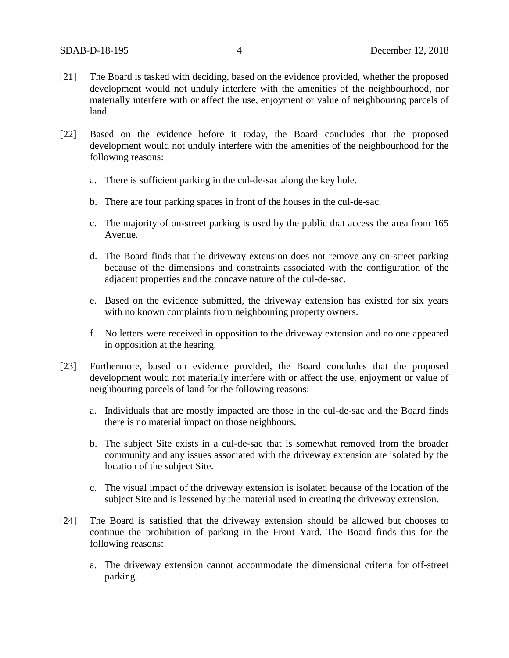- [21] The Board is tasked with deciding, based on the evidence provided, whether the proposed development would not unduly interfere with the amenities of the neighbourhood, nor materially interfere with or affect the use, enjoyment or value of neighbouring parcels of land.
- [22] Based on the evidence before it today, the Board concludes that the proposed development would not unduly interfere with the amenities of the neighbourhood for the following reasons:
	- a. There is sufficient parking in the cul-de-sac along the key hole.
	- b. There are four parking spaces in front of the houses in the cul-de-sac.
	- c. The majority of on-street parking is used by the public that access the area from 165 Avenue.
	- d. The Board finds that the driveway extension does not remove any on-street parking because of the dimensions and constraints associated with the configuration of the adjacent properties and the concave nature of the cul-de-sac.
	- e. Based on the evidence submitted, the driveway extension has existed for six years with no known complaints from neighbouring property owners.
	- f. No letters were received in opposition to the driveway extension and no one appeared in opposition at the hearing.
- [23] Furthermore, based on evidence provided, the Board concludes that the proposed development would not materially interfere with or affect the use, enjoyment or value of neighbouring parcels of land for the following reasons:
	- a. Individuals that are mostly impacted are those in the cul-de-sac and the Board finds there is no material impact on those neighbours.
	- b. The subject Site exists in a cul-de-sac that is somewhat removed from the broader community and any issues associated with the driveway extension are isolated by the location of the subject Site.
	- c. The visual impact of the driveway extension is isolated because of the location of the subject Site and is lessened by the material used in creating the driveway extension.
- [24] The Board is satisfied that the driveway extension should be allowed but chooses to continue the prohibition of parking in the Front Yard. The Board finds this for the following reasons:
	- a. The driveway extension cannot accommodate the dimensional criteria for off-street parking.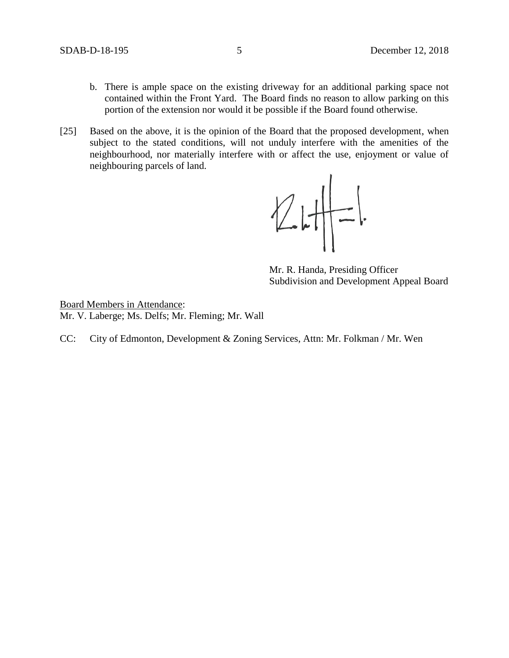- b. There is ample space on the existing driveway for an additional parking space not contained within the Front Yard. The Board finds no reason to allow parking on this portion of the extension nor would it be possible if the Board found otherwise.
- [25] Based on the above, it is the opinion of the Board that the proposed development, when subject to the stated conditions, will not unduly interfere with the amenities of the neighbourhood, nor materially interfere with or affect the use, enjoyment or value of neighbouring parcels of land.



Mr. R. Handa, Presiding Officer Subdivision and Development Appeal Board

Board Members in Attendance: Mr. V. Laberge; Ms. Delfs; Mr. Fleming; Mr. Wall

CC: City of Edmonton, Development & Zoning Services, Attn: Mr. Folkman / Mr. Wen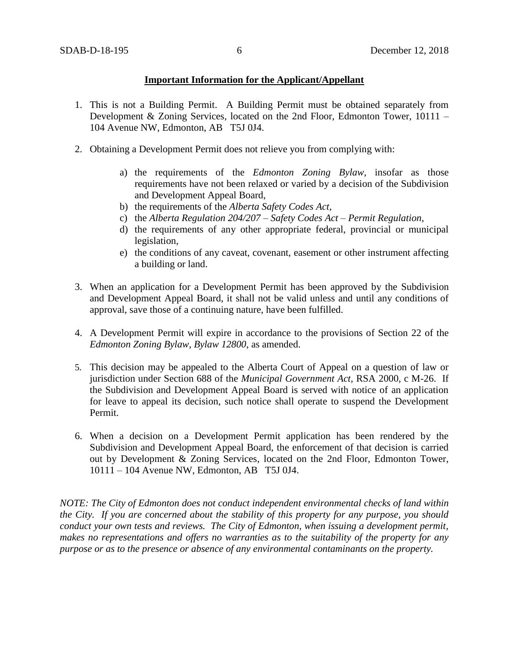## **Important Information for the Applicant/Appellant**

- 1. This is not a Building Permit. A Building Permit must be obtained separately from Development & Zoning Services, located on the 2nd Floor, Edmonton Tower, 10111 – 104 Avenue NW, Edmonton, AB T5J 0J4.
- 2. Obtaining a Development Permit does not relieve you from complying with:
	- a) the requirements of the *Edmonton Zoning Bylaw*, insofar as those requirements have not been relaxed or varied by a decision of the Subdivision and Development Appeal Board,
	- b) the requirements of the *Alberta Safety Codes Act*,
	- c) the *Alberta Regulation 204/207 – Safety Codes Act – Permit Regulation*,
	- d) the requirements of any other appropriate federal, provincial or municipal legislation,
	- e) the conditions of any caveat, covenant, easement or other instrument affecting a building or land.
- 3. When an application for a Development Permit has been approved by the Subdivision and Development Appeal Board, it shall not be valid unless and until any conditions of approval, save those of a continuing nature, have been fulfilled.
- 4. A Development Permit will expire in accordance to the provisions of Section 22 of the *Edmonton Zoning Bylaw, Bylaw 12800*, as amended.
- 5. This decision may be appealed to the Alberta Court of Appeal on a question of law or jurisdiction under Section 688 of the *Municipal Government Act*, RSA 2000, c M-26. If the Subdivision and Development Appeal Board is served with notice of an application for leave to appeal its decision, such notice shall operate to suspend the Development Permit.
- 6. When a decision on a Development Permit application has been rendered by the Subdivision and Development Appeal Board, the enforcement of that decision is carried out by Development & Zoning Services, located on the 2nd Floor, Edmonton Tower, 10111 – 104 Avenue NW, Edmonton, AB T5J 0J4.

*NOTE: The City of Edmonton does not conduct independent environmental checks of land within the City. If you are concerned about the stability of this property for any purpose, you should conduct your own tests and reviews. The City of Edmonton, when issuing a development permit, makes no representations and offers no warranties as to the suitability of the property for any purpose or as to the presence or absence of any environmental contaminants on the property.*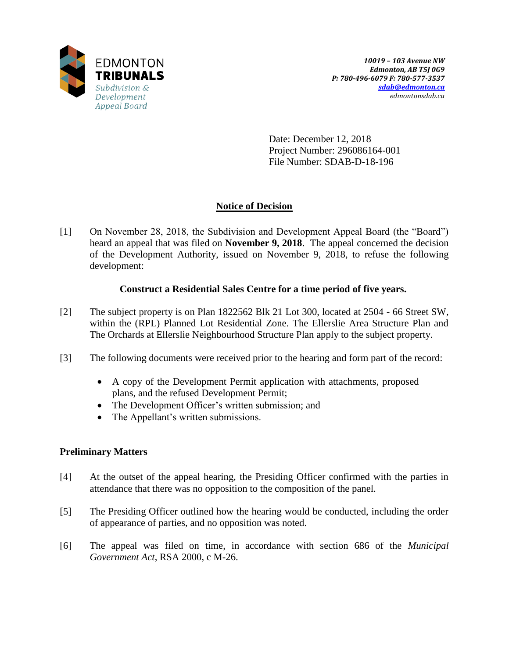

Date: December 12, 2018 Project Number: 296086164-001 File Number: SDAB-D-18-196

# **Notice of Decision**

[1] On November 28, 2018, the Subdivision and Development Appeal Board (the "Board") heard an appeal that was filed on **November 9, 2018**. The appeal concerned the decision of the Development Authority, issued on November 9, 2018, to refuse the following development:

## **Construct a Residential Sales Centre for a time period of five years.**

- [2] The subject property is on Plan 1822562 Blk 21 Lot 300, located at 2504 66 Street SW, within the (RPL) Planned Lot Residential Zone. The Ellerslie Area Structure Plan and The Orchards at Ellerslie Neighbourhood Structure Plan apply to the subject property.
- [3] The following documents were received prior to the hearing and form part of the record:
	- A copy of the Development Permit application with attachments, proposed plans, and the refused Development Permit;
	- The Development Officer's written submission; and
	- The Appellant's written submissions.

## **Preliminary Matters**

- [4] At the outset of the appeal hearing, the Presiding Officer confirmed with the parties in attendance that there was no opposition to the composition of the panel.
- [5] The Presiding Officer outlined how the hearing would be conducted, including the order of appearance of parties, and no opposition was noted.
- [6] The appeal was filed on time, in accordance with section 686 of the *Municipal Government Act*, RSA 2000, c M-26.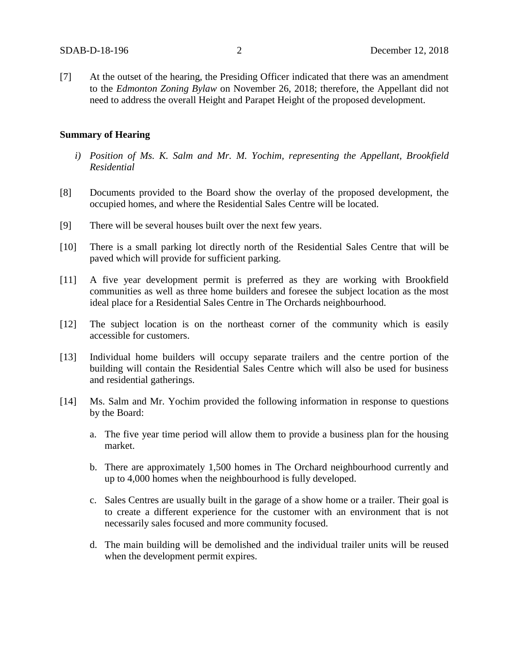[7] At the outset of the hearing, the Presiding Officer indicated that there was an amendment to the *Edmonton Zoning Bylaw* on November 26, 2018; therefore, the Appellant did not need to address the overall Height and Parapet Height of the proposed development.

#### **Summary of Hearing**

- *i) Position of Ms. K. Salm and Mr. M. Yochim, representing the Appellant, Brookfield Residential*
- [8] Documents provided to the Board show the overlay of the proposed development, the occupied homes, and where the Residential Sales Centre will be located.
- [9] There will be several houses built over the next few years.
- [10] There is a small parking lot directly north of the Residential Sales Centre that will be paved which will provide for sufficient parking.
- [11] A five year development permit is preferred as they are working with Brookfield communities as well as three home builders and foresee the subject location as the most ideal place for a Residential Sales Centre in The Orchards neighbourhood.
- [12] The subject location is on the northeast corner of the community which is easily accessible for customers.
- [13] Individual home builders will occupy separate trailers and the centre portion of the building will contain the Residential Sales Centre which will also be used for business and residential gatherings.
- [14] Ms. Salm and Mr. Yochim provided the following information in response to questions by the Board:
	- a. The five year time period will allow them to provide a business plan for the housing market.
	- b. There are approximately 1,500 homes in The Orchard neighbourhood currently and up to 4,000 homes when the neighbourhood is fully developed.
	- c. Sales Centres are usually built in the garage of a show home or a trailer. Their goal is to create a different experience for the customer with an environment that is not necessarily sales focused and more community focused.
	- d. The main building will be demolished and the individual trailer units will be reused when the development permit expires.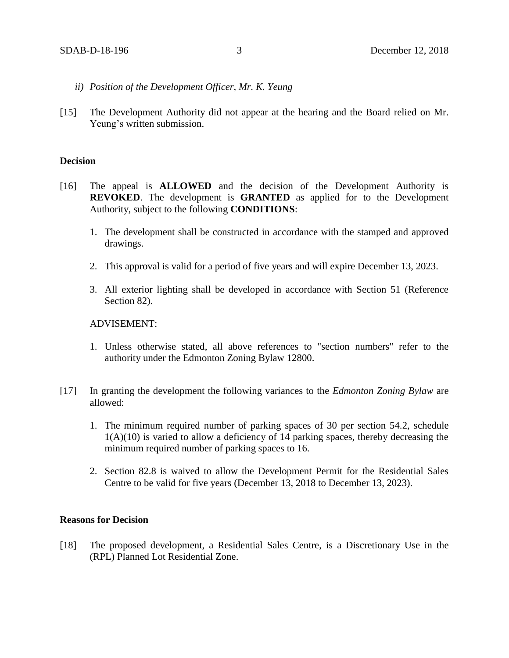- *ii) Position of the Development Officer, Mr. K. Yeung*
- [15] The Development Authority did not appear at the hearing and the Board relied on Mr. Yeung's written submission.

## **Decision**

- [16] The appeal is **ALLOWED** and the decision of the Development Authority is **REVOKED**. The development is **GRANTED** as applied for to the Development Authority, subject to the following **CONDITIONS**:
	- 1. The development shall be constructed in accordance with the stamped and approved drawings.
	- 2. This approval is valid for a period of five years and will expire December 13, 2023.
	- 3. All exterior lighting shall be developed in accordance with Section 51 (Reference Section 82).

#### ADVISEMENT:

- 1. Unless otherwise stated, all above references to "section numbers" refer to the authority under the Edmonton Zoning Bylaw 12800.
- [17] In granting the development the following variances to the *Edmonton Zoning Bylaw* are allowed:
	- 1. The minimum required number of parking spaces of 30 per section 54.2, schedule  $1(A)(10)$  is varied to allow a deficiency of 14 parking spaces, thereby decreasing the minimum required number of parking spaces to 16.
	- 2. Section 82.8 is waived to allow the Development Permit for the Residential Sales Centre to be valid for five years (December 13, 2018 to December 13, 2023).

#### **Reasons for Decision**

[18] The proposed development, a Residential Sales Centre, is a Discretionary Use in the (RPL) Planned Lot Residential Zone.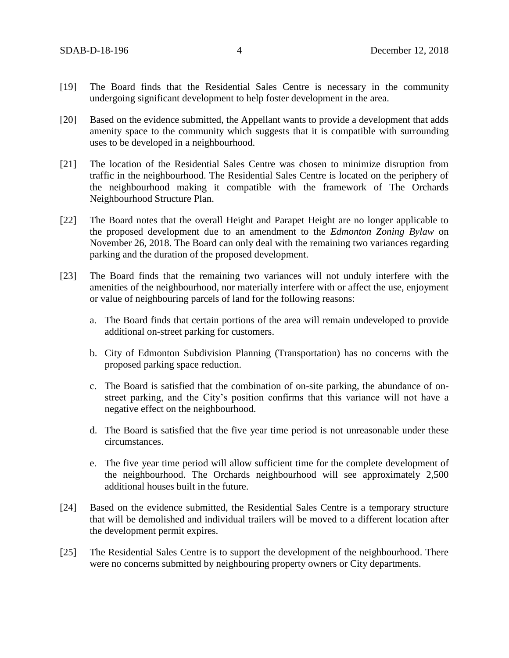- [19] The Board finds that the Residential Sales Centre is necessary in the community undergoing significant development to help foster development in the area.
- [20] Based on the evidence submitted, the Appellant wants to provide a development that adds amenity space to the community which suggests that it is compatible with surrounding uses to be developed in a neighbourhood.
- [21] The location of the Residential Sales Centre was chosen to minimize disruption from traffic in the neighbourhood. The Residential Sales Centre is located on the periphery of the neighbourhood making it compatible with the framework of The Orchards Neighbourhood Structure Plan.
- [22] The Board notes that the overall Height and Parapet Height are no longer applicable to the proposed development due to an amendment to the *Edmonton Zoning Bylaw* on November 26, 2018. The Board can only deal with the remaining two variances regarding parking and the duration of the proposed development.
- [23] The Board finds that the remaining two variances will not unduly interfere with the amenities of the neighbourhood, nor materially interfere with or affect the use, enjoyment or value of neighbouring parcels of land for the following reasons:
	- a. The Board finds that certain portions of the area will remain undeveloped to provide additional on-street parking for customers.
	- b. City of Edmonton Subdivision Planning (Transportation) has no concerns with the proposed parking space reduction.
	- c. The Board is satisfied that the combination of on-site parking, the abundance of onstreet parking, and the City's position confirms that this variance will not have a negative effect on the neighbourhood.
	- d. The Board is satisfied that the five year time period is not unreasonable under these circumstances.
	- e. The five year time period will allow sufficient time for the complete development of the neighbourhood. The Orchards neighbourhood will see approximately 2,500 additional houses built in the future.
- [24] Based on the evidence submitted, the Residential Sales Centre is a temporary structure that will be demolished and individual trailers will be moved to a different location after the development permit expires.
- [25] The Residential Sales Centre is to support the development of the neighbourhood. There were no concerns submitted by neighbouring property owners or City departments.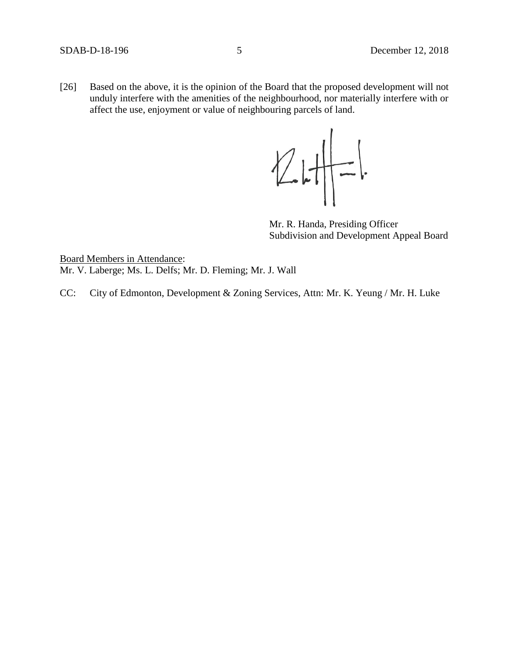[26] Based on the above, it is the opinion of the Board that the proposed development will not unduly interfere with the amenities of the neighbourhood, nor materially interfere with or affect the use, enjoyment or value of neighbouring parcels of land.



Mr. R. Handa, Presiding Officer Subdivision and Development Appeal Board

Board Members in Attendance: Mr. V. Laberge; Ms. L. Delfs; Mr. D. Fleming; Mr. J. Wall

CC: City of Edmonton, Development & Zoning Services, Attn: Mr. K. Yeung / Mr. H. Luke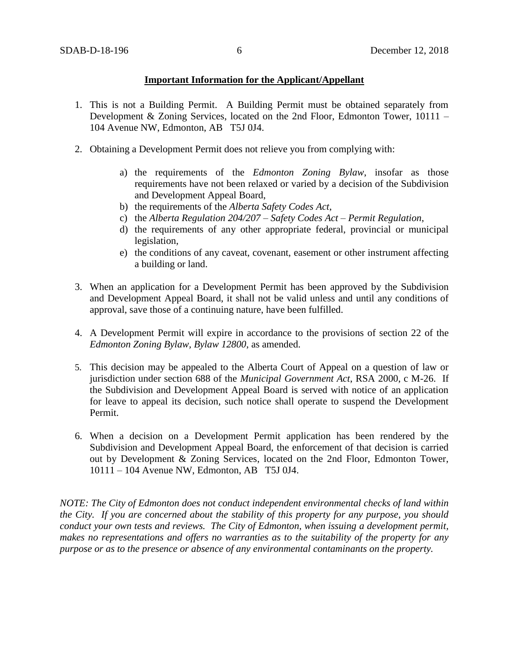## **Important Information for the Applicant/Appellant**

- 1. This is not a Building Permit. A Building Permit must be obtained separately from Development & Zoning Services, located on the 2nd Floor, Edmonton Tower, 10111 – 104 Avenue NW, Edmonton, AB T5J 0J4.
- 2. Obtaining a Development Permit does not relieve you from complying with:
	- a) the requirements of the *Edmonton Zoning Bylaw*, insofar as those requirements have not been relaxed or varied by a decision of the Subdivision and Development Appeal Board,
	- b) the requirements of the *Alberta Safety Codes Act*,
	- c) the *Alberta Regulation 204/207 – Safety Codes Act – Permit Regulation*,
	- d) the requirements of any other appropriate federal, provincial or municipal legislation,
	- e) the conditions of any caveat, covenant, easement or other instrument affecting a building or land.
- 3. When an application for a Development Permit has been approved by the Subdivision and Development Appeal Board, it shall not be valid unless and until any conditions of approval, save those of a continuing nature, have been fulfilled.
- 4. A Development Permit will expire in accordance to the provisions of section 22 of the *Edmonton Zoning Bylaw, Bylaw 12800*, as amended.
- 5. This decision may be appealed to the Alberta Court of Appeal on a question of law or jurisdiction under section 688 of the *Municipal Government Act*, RSA 2000, c M-26. If the Subdivision and Development Appeal Board is served with notice of an application for leave to appeal its decision, such notice shall operate to suspend the Development Permit.
- 6. When a decision on a Development Permit application has been rendered by the Subdivision and Development Appeal Board, the enforcement of that decision is carried out by Development & Zoning Services, located on the 2nd Floor, Edmonton Tower, 10111 – 104 Avenue NW, Edmonton, AB T5J 0J4.

*NOTE: The City of Edmonton does not conduct independent environmental checks of land within the City. If you are concerned about the stability of this property for any purpose, you should conduct your own tests and reviews. The City of Edmonton, when issuing a development permit, makes no representations and offers no warranties as to the suitability of the property for any purpose or as to the presence or absence of any environmental contaminants on the property.*